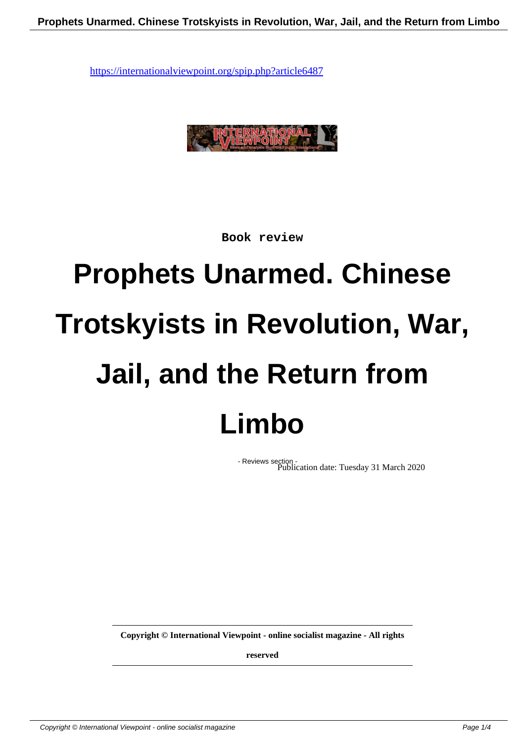

**Book review**

## **Prophets Unarmed. Chinese Trotskyists in Revolution, War, Jail, and the Return from Limbo**

- Reviews section - Publication date: Tuesday 31 March 2020

**Copyright © International Viewpoint - online socialist magazine - All rights**

**reserved**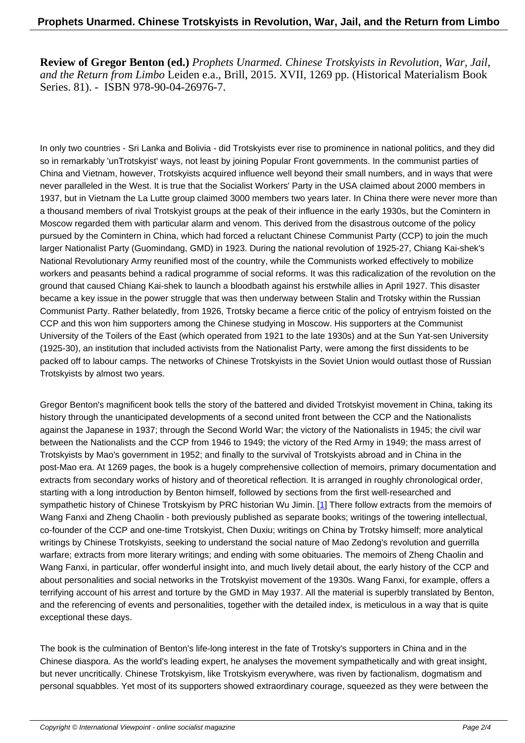**Review of Gregor Benton (ed.)** *Prophets Unarmed. Chinese Trotskyists in Revolution, War, Jail, and the Return from Limbo* Leiden e.a., Brill, 2015. XVII, 1269 pp. (Historical Materialism Book Series. 81). - ISBN 978-90-04-26976-7.

In only two countries - Sri Lanka and Bolivia - did Trotskyists ever rise to prominence in national politics, and they did so in remarkably 'unTrotskyist' ways, not least by joining Popular Front governments. In the communist parties of China and Vietnam, however, Trotskyists acquired influence well beyond their small numbers, and in ways that were never paralleled in the West. It is true that the Socialist Workers' Party in the USA claimed about 2000 members in 1937, but in Vietnam the La Lutte group claimed 3000 members two years later. In China there were never more than a thousand members of rival Trotskyist groups at the peak of their influence in the early 1930s, but the Comintern in Moscow regarded them with particular alarm and venom. This derived from the disastrous outcome of the policy pursued by the Comintern in China, which had forced a reluctant Chinese Communist Party (CCP) to join the much larger Nationalist Party (Guomindang, GMD) in 1923. During the national revolution of 1925-27, Chiang Kai-shek's National Revolutionary Army reunified most of the country, while the Communists worked effectively to mobilize workers and peasants behind a radical programme of social reforms. It was this radicalization of the revolution on the ground that caused Chiang Kai-shek to launch a bloodbath against his erstwhile allies in April 1927. This disaster became a key issue in the power struggle that was then underway between Stalin and Trotsky within the Russian Communist Party. Rather belatedly, from 1926, Trotsky became a fierce critic of the policy of entryism foisted on the CCP and this won him supporters among the Chinese studying in Moscow. His supporters at the Communist University of the Toilers of the East (which operated from 1921 to the late 1930s) and at the Sun Yat-sen University (1925-30), an institution that included activists from the Nationalist Party, were among the first dissidents to be packed off to labour camps. The networks of Chinese Trotskyists in the Soviet Union would outlast those of Russian Trotskyists by almost two years.

Gregor Benton's magnificent book tells the story of the battered and divided Trotskyist movement in China, taking its history through the unanticipated developments of a second united front between the CCP and the Nationalists against the Japanese in 1937; through the Second World War; the victory of the Nationalists in 1945; the civil war between the Nationalists and the CCP from 1946 to 1949; the victory of the Red Army in 1949; the mass arrest of Trotskyists by Mao's government in 1952; and finally to the survival of Trotskyists abroad and in China in the post-Mao era. At 1269 pages, the book is a hugely comprehensive collection of memoirs, primary documentation and extracts from secondary works of history and of theoretical reflection. It is arranged in roughly chronological order, starting with a long introduction by Benton himself, followed by sections from the first well-researched and sympathetic history of Chinese Trotskyism by PRC historian Wu Jimin. [1] There follow extracts from the memoirs of Wang Fanxi and Zheng Chaolin - both previously published as separate books; writings of the towering intellectual, co-founder of the CCP and one-time Trotskyist, Chen Duxiu; writings on China by Trotsky himself; more analytical writings by Chinese Trotskyists, seeking to understand the social nature of Mao Zedong's revolution and guerrilla warfare; extracts from more literary writings; and ending with some obit[ua](#nb1)ries. The memoirs of Zheng Chaolin and Wang Fanxi, in particular, offer wonderful insight into, and much lively detail about, the early history of the CCP and about personalities and social networks in the Trotskyist movement of the 1930s. Wang Fanxi, for example, offers a terrifying account of his arrest and torture by the GMD in May 1937. All the material is superbly translated by Benton, and the referencing of events and personalities, together with the detailed index, is meticulous in a way that is quite exceptional these days.

The book is the culmination of Benton's life-long interest in the fate of Trotsky's supporters in China and in the Chinese diaspora. As the world's leading expert, he analyses the movement sympathetically and with great insight, but never uncritically. Chinese Trotskyism, like Trotskyism everywhere, was riven by factionalism, dogmatism and personal squabbles. Yet most of its supporters showed extraordinary courage, squeezed as they were between the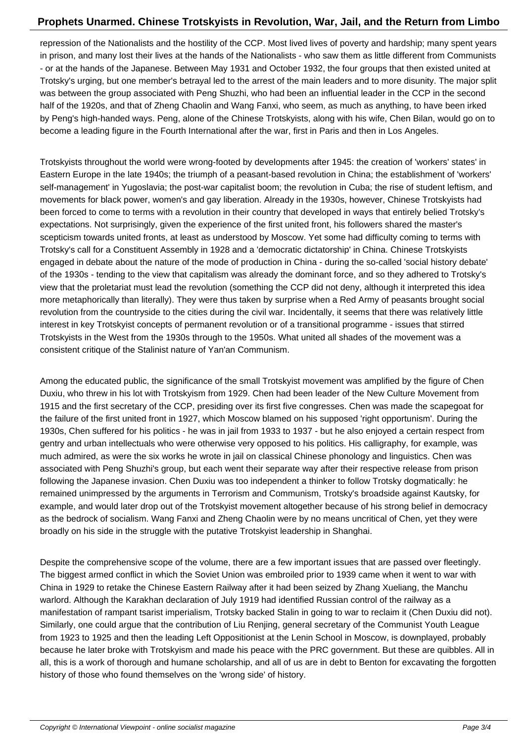repression of the Nationalists and the hostility of the CCP. Most lived lives of poverty and hardship; many spent years in prison, and many lost their lives at the hands of the Nationalists - who saw them as little different from Communists - or at the hands of the Japanese. Between May 1931 and October 1932, the four groups that then existed united at Trotsky's urging, but one member's betrayal led to the arrest of the main leaders and to more disunity. The major split was between the group associated with Peng Shuzhi, who had been an influential leader in the CCP in the second half of the 1920s, and that of Zheng Chaolin and Wang Fanxi, who seem, as much as anything, to have been irked by Peng's high-handed ways. Peng, alone of the Chinese Trotskyists, along with his wife, Chen Bilan, would go on to become a leading figure in the Fourth International after the war, first in Paris and then in Los Angeles.

Trotskyists throughout the world were wrong-footed by developments after 1945: the creation of 'workers' states' in Eastern Europe in the late 1940s; the triumph of a peasant-based revolution in China; the establishment of 'workers' self-management' in Yugoslavia; the post-war capitalist boom; the revolution in Cuba; the rise of student leftism, and movements for black power, women's and gay liberation. Already in the 1930s, however, Chinese Trotskyists had been forced to come to terms with a revolution in their country that developed in ways that entirely belied Trotsky's expectations. Not surprisingly, given the experience of the first united front, his followers shared the master's scepticism towards united fronts, at least as understood by Moscow. Yet some had difficulty coming to terms with Trotsky's call for a Constituent Assembly in 1928 and a 'democratic dictatorship' in China. Chinese Trotskyists engaged in debate about the nature of the mode of production in China - during the so-called 'social history debate' of the 1930s - tending to the view that capitalism was already the dominant force, and so they adhered to Trotsky's view that the proletariat must lead the revolution (something the CCP did not deny, although it interpreted this idea more metaphorically than literally). They were thus taken by surprise when a Red Army of peasants brought social revolution from the countryside to the cities during the civil war. Incidentally, it seems that there was relatively little interest in key Trotskyist concepts of permanent revolution or of a transitional programme - issues that stirred Trotskyists in the West from the 1930s through to the 1950s. What united all shades of the movement was a consistent critique of the Stalinist nature of Yan'an Communism.

Among the educated public, the significance of the small Trotskyist movement was amplified by the figure of Chen Duxiu, who threw in his lot with Trotskyism from 1929. Chen had been leader of the New Culture Movement from 1915 and the first secretary of the CCP, presiding over its first five congresses. Chen was made the scapegoat for the failure of the first united front in 1927, which Moscow blamed on his supposed 'right opportunism'. During the 1930s, Chen suffered for his politics - he was in jail from 1933 to 1937 - but he also enjoyed a certain respect from gentry and urban intellectuals who were otherwise very opposed to his politics. His calligraphy, for example, was much admired, as were the six works he wrote in jail on classical Chinese phonology and linguistics. Chen was associated with Peng Shuzhi's group, but each went their separate way after their respective release from prison following the Japanese invasion. Chen Duxiu was too independent a thinker to follow Trotsky dogmatically: he remained unimpressed by the arguments in Terrorism and Communism, Trotsky's broadside against Kautsky, for example, and would later drop out of the Trotskyist movement altogether because of his strong belief in democracy as the bedrock of socialism. Wang Fanxi and Zheng Chaolin were by no means uncritical of Chen, yet they were broadly on his side in the struggle with the putative Trotskyist leadership in Shanghai.

Despite the comprehensive scope of the volume, there are a few important issues that are passed over fleetingly. The biggest armed conflict in which the Soviet Union was embroiled prior to 1939 came when it went to war with China in 1929 to retake the Chinese Eastern Railway after it had been seized by Zhang Xueliang, the Manchu warlord. Although the Karakhan declaration of July 1919 had identified Russian control of the railway as a manifestation of rampant tsarist imperialism, Trotsky backed Stalin in going to war to reclaim it (Chen Duxiu did not). Similarly, one could argue that the contribution of Liu Renjing, general secretary of the Communist Youth League from 1923 to 1925 and then the leading Left Oppositionist at the Lenin School in Moscow, is downplayed, probably because he later broke with Trotskyism and made his peace with the PRC government. But these are quibbles. All in all, this is a work of thorough and humane scholarship, and all of us are in debt to Benton for excavating the forgotten history of those who found themselves on the 'wrong side' of history.